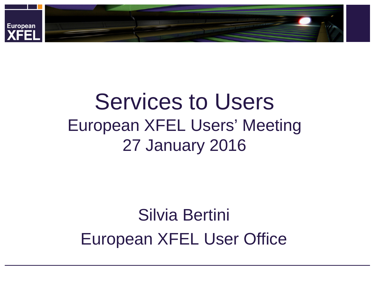

# Services to Users European XFEL Users' Meeting 27 January 2016

## Silvia Bertini European XFEL User Office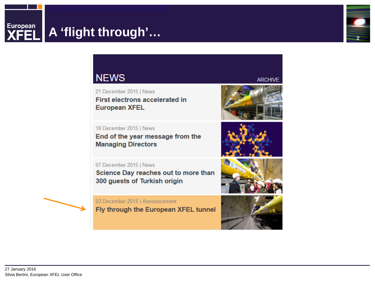### **A 'flight through'…**



#### **NEWS**

21 December 2015 | News First electrons accelerated in **European XFEL** 

18 December 2015 | News End of the year message from the **Managing Directors** 

**ARCHIVE** 

07 December 2015 | News Science Day reaches out to more than 300 guests of Turkish origin

03 December 2015 | Announcement

Fly through the European XFEL tunnel





European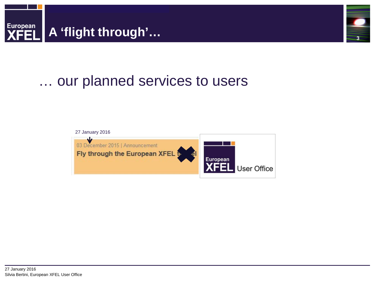



## … our planned services to users

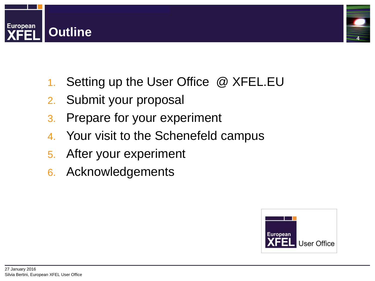



- 1. Setting up the User Office @ XFEL.EU
- 2. Submit your proposal
- 3. Prepare for your experiment
- 4. Your visit to the Schenefeld campus
- 5. After your experiment
- 6. Acknowledgements

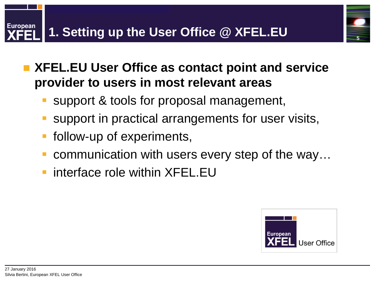**XFEL.EU User Office as contact point and service provider to users in most relevant areas** 

- support & tools for proposal management,
- support in practical arrangements for user visits,
- follow-up of experiments,
- communication with users every step of the way…
- interface role within XFEL.EU

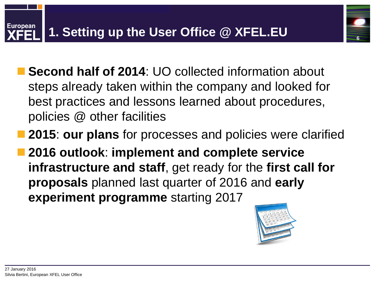- **Second half of 2014**: UO collected information about steps already taken within the company and looked for best practices and lessons learned about procedures, policies @ other facilities
- **2015**: **our plans** for processes and policies were clarified
- **2016 outlook**: **implement and complete service infrastructure and staff**, get ready for the **first call for proposals** planned last quarter of 2016 and **early experiment programme** starting 2017

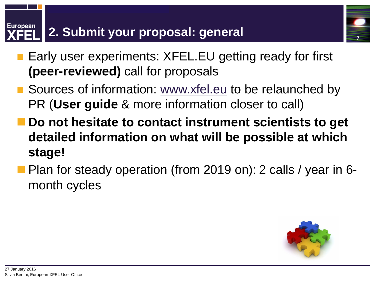#### **European 2. Submit your proposal: general**

- **Early user experiments: XFEL.EU getting ready for first (peer-reviewed)** call for proposals
- Sources of information: [www.xfel.eu](http://www.xfel.eu/) to be relaunched by PR (**User guide** & more information closer to call)
- **Do not hesitate to contact instrument scientists to get detailed information on what will be possible at which stage!**
- **Plan for steady operation (from 2019 on): 2 calls / year in 6**month cycles

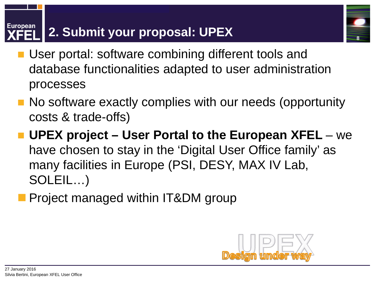#### **European 2. Submit your proposal: UPEX**

- **User portal: software combining different tools and** database functionalities adapted to user administration processes
- No software exactly complies with our needs (opportunity costs & trade-offs)
- UPEX project User Portal to the European XFEL we have chosen to stay in the 'Digital User Office family' as many facilities in Europe (PSI, DESY, MAX IV Lab, SOLEIL…)
	- Project managed within IT&DM group

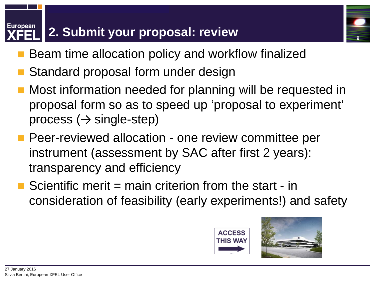#### **European 2. Submit your proposal: review**

- Beam time allocation policy and workflow finalized
- Standard proposal form under design
- Most information needed for planning will be requested in proposal form so as to speed up 'proposal to experiment' process  $(\rightarrow$  single-step)
- **Peer-reviewed allocation one review committee per** instrument (assessment by SAC after first 2 years): transparency and efficiency
- Scientific merit = main criterion from the start in consideration of feasibility (early experiments!) and safety



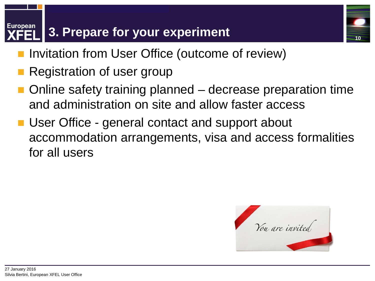#### **European 3. Prepare for your experiment**

- Invitation from User Office (outcome of review)
- Registration of user group
- Online safety training planned decrease preparation time and administration on site and allow faster access
- User Office general contact and support about accommodation arrangements, visa and access formalities for all users

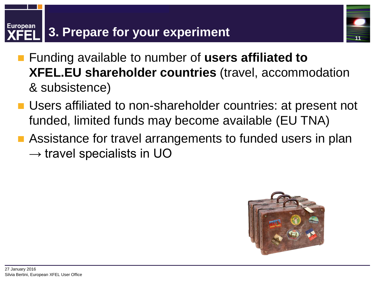#### **European 3. Prepare for your experiment**



- Funding available to number of **users affiliated to XFEL.EU shareholder countries** (travel, accommodation & subsistence)
- Users affiliated to non-shareholder countries: at present not funded, limited funds may become available (EU TNA)
- Assistance for travel arrangements to funded users in plan  $\rightarrow$  travel specialists in UO

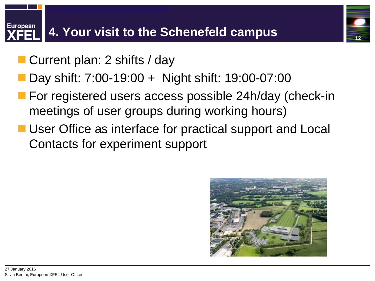# **European**

- Current plan: 2 shifts / day
- Day shift: 7:00-19:00 + Night shift: 19:00-07:00
- **For registered users access possible 24h/day (check-in** meetings of user groups during working hours)
- User Office as interface for practical support and Local Contacts for experiment support

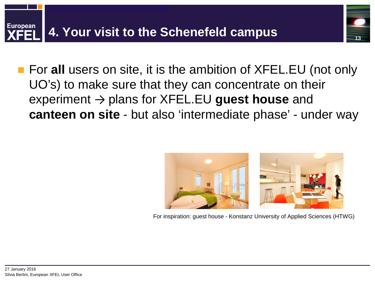

 For **all** users on site, it is the ambition of XFEL.EU (not only UO's) to make sure that they can concentrate on their experiment → plans for XFEL.EU **guest house** and **canteen on site** - but also 'intermediate phase' - under way



**13**

For inspiration: guest house - Konstanz University of Applied Sciences (HTWG)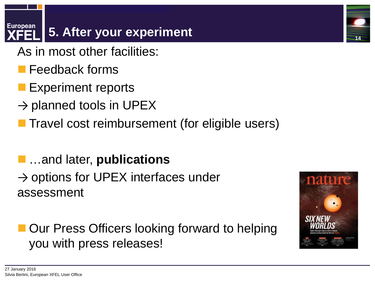#### **European 5. After your experiment**

- As in most other facilities:
	- Feedback forms
- Experiment reports
- $\rightarrow$  planned tools in UPEX
- **Travel cost reimbursement (for eligible users)**
- …and later, **publications**
- $\rightarrow$  options for UPEX interfaces under assessment

 Our Press Officers looking forward to helping you with press releases!

27 January 2016



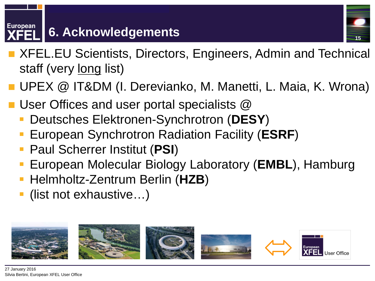#### **European 6. Acknowledgements**



- XFEL.EU Scientists, Directors, Engineers, Admin and Technical staff (very long list)
- UPEX @ IT&DM (I. Derevianko, M. Manetti, L. Maia, K. Wrona)
- User Offices and user portal specialists @
	- Deutsches Elektronen-Synchrotron (**DESY**)
	- European Synchrotron Radiation Facility (**ESRF**)
	- Paul Scherrer Institut (**PSI**)
	- European Molecular Biology Laboratory (**EMBL**), Hamburg
	- Helmholtz-Zentrum Berlin (**HZB**)
	- (list not exhaustive…)

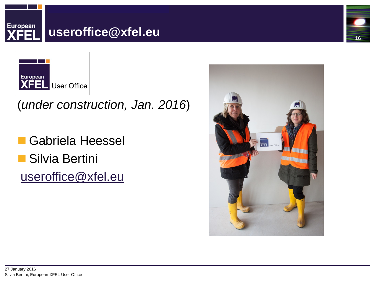



(*under construction, Jan. 2016*)

 Gabriela Heessel Silvia Bertini [useroffice@xfel.eu](mailto:useroffice@xfel.eu)